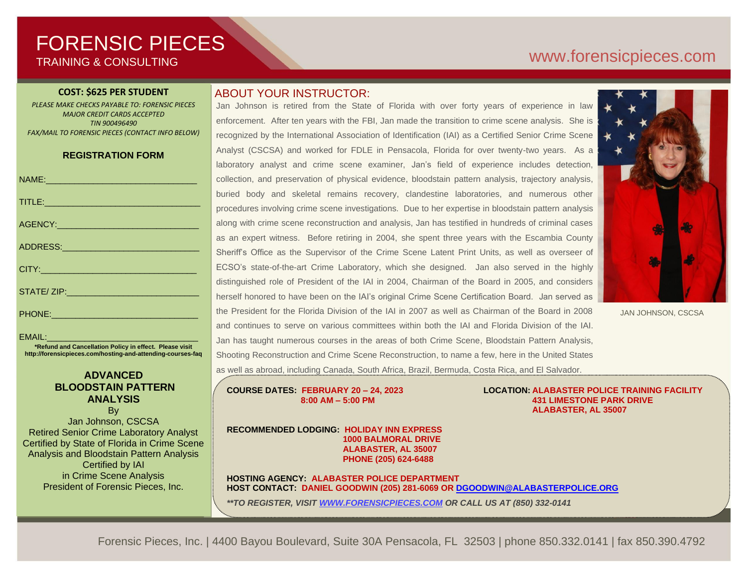# FORENSIC PIECES TRAINING & CONSULTING

#### **COST: \$625 PER STUDENT**

*PLEASE MAKE CHECKS PAYABLE TO: FORENSIC PIECES MAJOR CREDIT CARDS ACCEPTED TIN 900496490 FAX/MAIL TO FORENSIC PIECES (CONTACT INFO BELOW)*

#### **REGISTRATION FORM**

| NAME: 2008 - 2008 - 2008 - 2008 - 2010 - 2010 - 2010 - 2010 - 2010 - 2010 - 2010 - 2010 - 2010 - 2010 - 2010 - |
|----------------------------------------------------------------------------------------------------------------|
|                                                                                                                |
|                                                                                                                |
|                                                                                                                |
|                                                                                                                |
|                                                                                                                |
|                                                                                                                |

#### $FMAII$

**\*Refund and Cancellation Policy in effect. Please visit http://forensicpieces.com/hosting-and-attending-courses-faq**

#### **ADVANCED BLOODSTAIN PATTERN ANALYSIS**

By Jan Johnson, CSCSA Retired Senior Crime Laboratory Analyst Certified by State of Florida in Crime Scene Analysis and Bloodstain Pattern Analysis Certified by IAI in Crime Scene Analysis President of Forensic Pieces, Inc.

#### ABOUT YOUR INSTRUCTOR:

Jan Johnson is retired from the State of Florida with over forty years of experience in law enforcement. After ten years with the FBI, Jan made the transition to crime scene analysis. She is recognized by the International Association of Identification (IAI) as a Certified Senior Crime Scene Analyst (CSCSA) and worked for FDLE in Pensacola, Florida for over twenty-two years. As a laboratory analyst and crime scene examiner, Jan's field of experience includes detection, collection, and preservation of physical evidence, bloodstain pattern analysis, trajectory analysis, buried body and skeletal remains recovery, clandestine laboratories, and numerous other procedures involving crime scene investigations. Due to her expertise in bloodstain pattern analysis along with crime scene reconstruction and analysis, Jan has testified in hundreds of criminal cases as an expert witness. Before retiring in 2004, she spent three years with the Escambia County Sheriff's Office as the Supervisor of the Crime Scene Latent Print Units, as well as overseer of ECSO's state-of-the-art Crime Laboratory, which she designed. Jan also served in the highly distinguished role of President of the IAI in 2004, Chairman of the Board in 2005, and considers herself honored to have been on the IAI's original Crime Scene Certification Board. Jan served as the President for the Florida Division of the IAI in 2007 as well as Chairman of the Board in 2008 and continues to serve on various committees within both the IAI and Florida Division of the IAI. Jan has taught numerous courses in the areas of both Crime Scene, Bloodstain Pattern Analysis, Shooting Reconstruction and Crime Scene Reconstruction, to name a few, here in the United States as well as abroad, including Canada, South Africa, Brazil, Bermuda, Costa Rica, and El Salvador.



JAN JOHNSON, CSCSA

 **ALABASTER, AL 35007**

**COURSE DATES: FEBRUARY 20 – 24, 2023 LOCATION: ALABASTER POLICE TRAINING FACILITY 8:00 AM – 5:00 PM 431 LIMESTONE PARK DRIVE**

**RECOMMENDED LODGING: HOLIDAY INN EXPRESS 1000 BALMORAL DRIVE ALABASTER, AL 35007 PHONE (205) 624-6488** 

**HOSTING AGENCY: ALABASTER POLICE DEPARTMENT HOST CONTACT: DANIEL GOODWIN (205) 281-6069 O[R DGOODWIN@ALABASTERPOLICE.ORG](mailto:DGOODWIN@ALABASTERPOLICE.ORG)**

*\*\*TO REGISTER, VISIT [WWW.FORENSICPIECES.COM](http://www.forensicpieces.com/) OR CALL US AT (850) 332-0141*

Forensic Pieces, Inc. | 4400 Bayou Boulevard, Suite 30A Pensacola, FL 32503 | phone 850.332.0141 | fax 850.390.4792

# [www.forensicp](http://www.forensic/)ieces.com